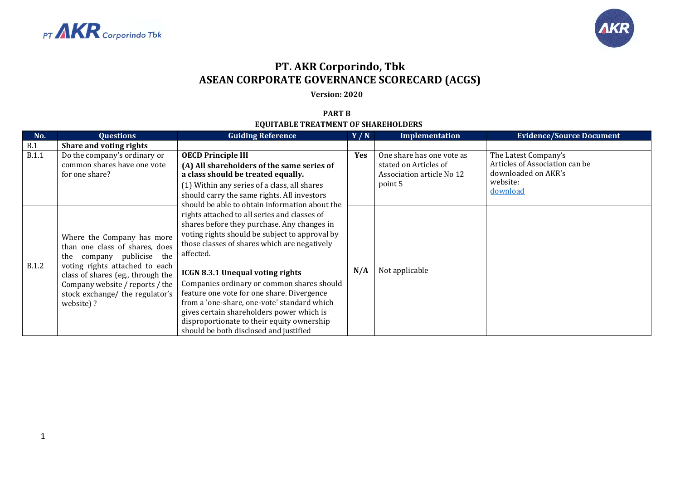



## **PT. AKR Corporindo, Tbk ASEAN CORPORATE GOVERNANCE SCORECARD (ACGS)**

**Version: 2020**

## **PART B EQUITABLE TREATMENT OF SHAREHOLDERS**

| No.          | <b>Questions</b>                                                                                                                                                                                                                                       | <b>Guiding Reference</b>                                                                                                                                                                                                                                                                                                                                                                                                                                                                                                                                                                | Y/N        | Implementation                                                                             | <b>Evidence/Source Document</b>                                                                       |
|--------------|--------------------------------------------------------------------------------------------------------------------------------------------------------------------------------------------------------------------------------------------------------|-----------------------------------------------------------------------------------------------------------------------------------------------------------------------------------------------------------------------------------------------------------------------------------------------------------------------------------------------------------------------------------------------------------------------------------------------------------------------------------------------------------------------------------------------------------------------------------------|------------|--------------------------------------------------------------------------------------------|-------------------------------------------------------------------------------------------------------|
| B.1          | Share and voting rights                                                                                                                                                                                                                                |                                                                                                                                                                                                                                                                                                                                                                                                                                                                                                                                                                                         |            |                                                                                            |                                                                                                       |
| <b>B.1.1</b> | Do the company's ordinary or<br>common shares have one vote<br>for one share?                                                                                                                                                                          | <b>OECD Principle III</b><br>(A) All shareholders of the same series of<br>a class should be treated equally.<br>(1) Within any series of a class, all shares<br>should carry the same rights. All investors                                                                                                                                                                                                                                                                                                                                                                            | <b>Yes</b> | One share has one vote as<br>stated on Articles of<br>Association article No 12<br>point 5 | The Latest Company's<br>Articles of Association can be<br>downloaded on AKR's<br>website:<br>download |
| <b>B.1.2</b> | Where the Company has more<br>than one class of shares, does<br>company publicise the<br>the<br>voting rights attached to each<br>class of shares (eg., through the<br>Company website / reports / the<br>stock exchange/ the regulator's<br>website)? | should be able to obtain information about the<br>rights attached to all series and classes of<br>shares before they purchase. Any changes in<br>voting rights should be subject to approval by<br>those classes of shares which are negatively<br>affected.<br><b>ICGN 8.3.1 Unequal voting rights</b><br>Companies ordinary or common shares should<br>feature one vote for one share. Divergence<br>from a 'one-share, one-vote' standard which<br>gives certain shareholders power which is<br>disproportionate to their equity ownership<br>should be both disclosed and justified | N/A        | Not applicable                                                                             |                                                                                                       |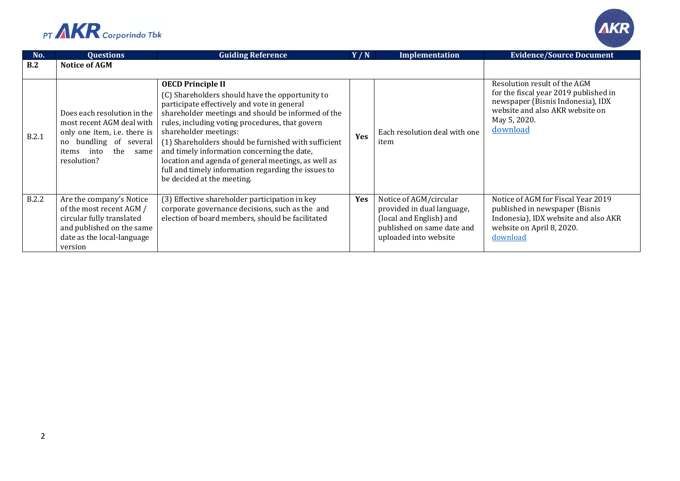



| No.   | <b>Questions</b>                                                                                                                                                  | <b>Guiding Reference</b>                                                                                                                                                                                                                                                                                                                                                                                                                                                                                        | Y/N        | <b>Implementation</b>                                                                                                                  | <b>Evidence/Source Document</b>                                                                                                                                           |
|-------|-------------------------------------------------------------------------------------------------------------------------------------------------------------------|-----------------------------------------------------------------------------------------------------------------------------------------------------------------------------------------------------------------------------------------------------------------------------------------------------------------------------------------------------------------------------------------------------------------------------------------------------------------------------------------------------------------|------------|----------------------------------------------------------------------------------------------------------------------------------------|---------------------------------------------------------------------------------------------------------------------------------------------------------------------------|
| B.2   | <b>Notice of AGM</b>                                                                                                                                              |                                                                                                                                                                                                                                                                                                                                                                                                                                                                                                                 |            |                                                                                                                                        |                                                                                                                                                                           |
| B.2.1 | Does each resolution in the<br>most recent AGM deal with<br>only one item, i.e. there is<br>no bundling of several<br>the<br>into<br>items<br>same<br>resolution? | <b>OECD Principle II</b><br>(C) Shareholders should have the opportunity to<br>participate effectively and vote in general<br>shareholder meetings and should be informed of the<br>rules, including voting procedures, that govern<br>shareholder meetings:<br>(1) Shareholders should be furnished with sufficient<br>and timely information concerning the date,<br>location and agenda of general meetings, as well as<br>full and timely information regarding the issues to<br>be decided at the meeting. | <b>Yes</b> | Each resolution deal with one<br>item                                                                                                  | Resolution result of the AGM<br>for the fiscal year 2019 published in<br>newspaper (Bisnis Indonesia), IDX<br>website and also AKR website on<br>May 5, 2020.<br>download |
| B.2.2 | Are the company's Notice<br>of the most recent AGM /<br>circular fully translated<br>and published on the same<br>date as the local-language<br>version           | (3) Effective shareholder participation in key<br>corporate governance decisions, such as the and<br>election of board members, should be facilitated                                                                                                                                                                                                                                                                                                                                                           | <b>Yes</b> | Notice of AGM/circular<br>provided in dual language,<br>(local and English) and<br>published on same date and<br>uploaded into website | Notice of AGM for Fiscal Year 2019<br>published in newspaper (Bisnis<br>Indonesia), IDX website and also AKR<br>website on April 8, 2020.<br>download                     |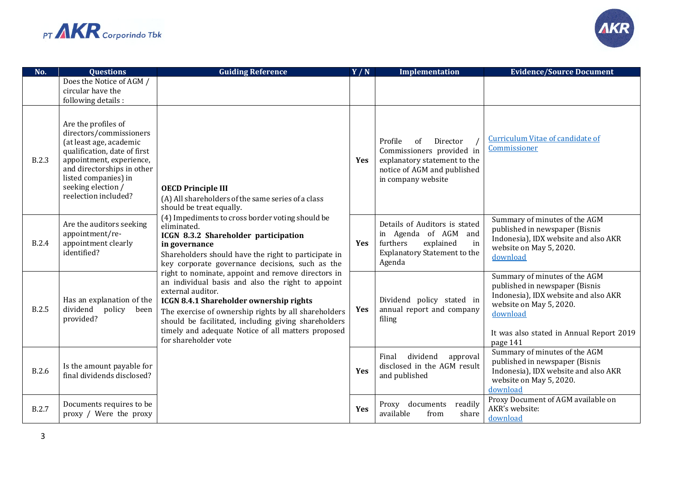



| No.          | <b>Questions</b>                                                                                                                                                                                                                          | <b>Guiding Reference</b>                                                                                                                                                                                                                                                                                                                                                                                                                                                                                                                                                                                                                                                                                                    | Y/N        | <b>Implementation</b>                                                                                                                       | <b>Evidence/Source Document</b>                                                                                                                                                                        |
|--------------|-------------------------------------------------------------------------------------------------------------------------------------------------------------------------------------------------------------------------------------------|-----------------------------------------------------------------------------------------------------------------------------------------------------------------------------------------------------------------------------------------------------------------------------------------------------------------------------------------------------------------------------------------------------------------------------------------------------------------------------------------------------------------------------------------------------------------------------------------------------------------------------------------------------------------------------------------------------------------------------|------------|---------------------------------------------------------------------------------------------------------------------------------------------|--------------------------------------------------------------------------------------------------------------------------------------------------------------------------------------------------------|
|              | Does the Notice of AGM /<br>circular have the<br>following details :                                                                                                                                                                      |                                                                                                                                                                                                                                                                                                                                                                                                                                                                                                                                                                                                                                                                                                                             |            |                                                                                                                                             |                                                                                                                                                                                                        |
| <b>B.2.3</b> | Are the profiles of<br>directors/commissioners<br>(at least age, academic<br>qualification, date of first<br>appointment, experience,<br>and directorships in other<br>listed companies) in<br>seeking election /<br>reelection included? | <b>OECD Principle III</b><br>(A) All shareholders of the same series of a class<br>should be treat equally.<br>(4) Impediments to cross border voting should be<br>eliminated.<br>ICGN 8.3.2 Shareholder participation<br>in governance<br>Shareholders should have the right to participate in<br>key corporate governance decisions, such as the<br>right to nominate, appoint and remove directors in<br>an individual basis and also the right to appoint<br>external auditor.<br>ICGN 8.4.1 Shareholder ownership rights<br>The exercise of ownership rights by all shareholders<br>should be facilitated, including giving shareholders<br>timely and adequate Notice of all matters proposed<br>for shareholder vote | <b>Yes</b> | Profile<br>of<br>Director<br>Commissioners provided in<br>explanatory statement to the<br>notice of AGM and published<br>in company website | <b>Curriculum Vitae of candidate of</b><br>Commissioner                                                                                                                                                |
| <b>B.2.4</b> | Are the auditors seeking<br>appointment/re-<br>appointment clearly<br>identified?                                                                                                                                                         |                                                                                                                                                                                                                                                                                                                                                                                                                                                                                                                                                                                                                                                                                                                             | Yes        | Details of Auditors is stated<br>in Agenda of AGM and<br>furthers<br>explained<br>in<br><b>Explanatory Statement to the</b><br>Agenda       | Summary of minutes of the AGM<br>published in newspaper (Bisnis<br>Indonesia), IDX website and also AKR<br>website on May 5, 2020.<br>download                                                         |
| <b>B.2.5</b> | Has an explanation of the<br>dividend<br>policy<br>been<br>provided?                                                                                                                                                                      |                                                                                                                                                                                                                                                                                                                                                                                                                                                                                                                                                                                                                                                                                                                             | <b>Yes</b> | Dividend policy stated in<br>annual report and company<br>filing                                                                            | Summary of minutes of the AGM<br>published in newspaper (Bisnis<br>Indonesia), IDX website and also AKR<br>website on May 5, 2020.<br>download<br>It was also stated in Annual Report 2019<br>page 141 |
| <b>B.2.6</b> | Is the amount payable for<br>final dividends disclosed?                                                                                                                                                                                   |                                                                                                                                                                                                                                                                                                                                                                                                                                                                                                                                                                                                                                                                                                                             | Yes        | dividend<br>Final<br>approval<br>disclosed in the AGM result<br>and published                                                               | Summary of minutes of the AGM<br>published in newspaper (Bisnis<br>Indonesia), IDX website and also AKR<br>website on May 5, 2020.<br>download                                                         |
| <b>B.2.7</b> | Documents requires to be<br>proxy / Were the proxy                                                                                                                                                                                        |                                                                                                                                                                                                                                                                                                                                                                                                                                                                                                                                                                                                                                                                                                                             | Yes        | Proxy documents<br>readily<br>available<br>share<br>from                                                                                    | Proxy Document of AGM available on<br>AKR's website:<br>download                                                                                                                                       |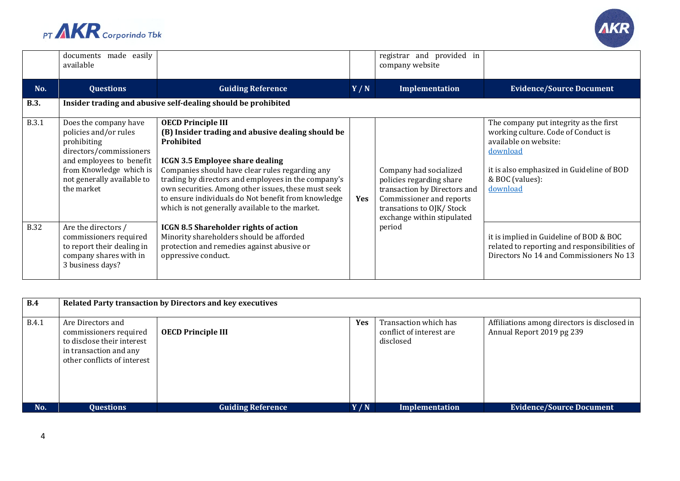



|              | documents made easily<br>available                                                                                                                                                          |                                                                                                                                                                                                                                                                                                                                                                                                                   |     | registrar and provided in<br>company website                                                                                                                             |                                                                                                                                                                                                |
|--------------|---------------------------------------------------------------------------------------------------------------------------------------------------------------------------------------------|-------------------------------------------------------------------------------------------------------------------------------------------------------------------------------------------------------------------------------------------------------------------------------------------------------------------------------------------------------------------------------------------------------------------|-----|--------------------------------------------------------------------------------------------------------------------------------------------------------------------------|------------------------------------------------------------------------------------------------------------------------------------------------------------------------------------------------|
| No.          | <b>Questions</b>                                                                                                                                                                            | <b>Guiding Reference</b>                                                                                                                                                                                                                                                                                                                                                                                          | Y/N | Implementation                                                                                                                                                           | <b>Evidence/Source Document</b>                                                                                                                                                                |
| <b>B.3.</b>  |                                                                                                                                                                                             | Insider trading and abusive self-dealing should be prohibited                                                                                                                                                                                                                                                                                                                                                     |     |                                                                                                                                                                          |                                                                                                                                                                                                |
| <b>B.3.1</b> | Does the company have<br>policies and/or rules<br>prohibiting<br>directors/commissioners<br>and employees to benefit<br>from Knowledge which is<br>not generally available to<br>the market | <b>OECD Principle III</b><br>(B) Insider trading and abusive dealing should be<br>Prohibited<br><b>ICGN 3.5 Employee share dealing</b><br>Companies should have clear rules regarding any<br>trading by directors and employees in the company's<br>own securities. Among other issues, these must seek<br>to ensure individuals do Not benefit from knowledge<br>which is not generally available to the market. | Yes | Company had socialized<br>policies regarding share<br>transaction by Directors and<br>Commissioner and reports<br>transations to OJK/Stock<br>exchange within stipulated | The company put integrity as the first<br>working culture. Code of Conduct is<br>available on website:<br>download<br>it is also emphasized in Guideline of BOD<br>& BOC (values):<br>download |
| <b>B.32</b>  | Are the directors /<br>commissioners required<br>to report their dealing in<br>company shares with in<br>3 business days?                                                                   | <b>ICGN 8.5 Shareholder rights of action</b><br>Minority shareholders should be afforded<br>protection and remedies against abusive or<br>oppressive conduct.                                                                                                                                                                                                                                                     |     | period                                                                                                                                                                   | it is implied in Guideline of BOD & BOC<br>related to reporting and responsibilities of<br>Directors No 14 and Commissioners No 13                                                             |

| B.4          | Related Party transaction by Directors and key executives                                                                          |                           |            |                                                                |                                                                           |  |
|--------------|------------------------------------------------------------------------------------------------------------------------------------|---------------------------|------------|----------------------------------------------------------------|---------------------------------------------------------------------------|--|
| <b>B.4.1</b> | Are Directors and<br>commissioners required<br>to disclose their interest<br>in transaction and any<br>other conflicts of interest | <b>OECD Principle III</b> | <b>Yes</b> | Transaction which has<br>conflict of interest are<br>disclosed | Affiliations among directors is disclosed in<br>Annual Report 2019 pg 239 |  |
| No.          | <b>Questions</b>                                                                                                                   | <b>Guiding Reference</b>  | Y/N        | <b>Implementation</b>                                          | <b>Evidence/Source Document</b>                                           |  |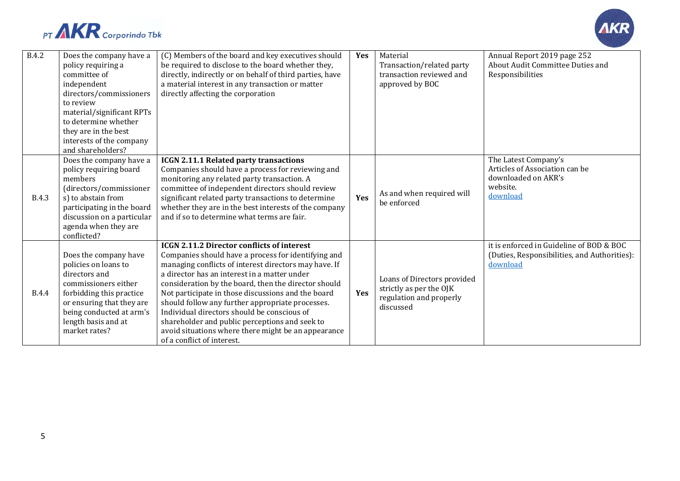



| <b>B.4.2</b> | Does the company have a<br>policy requiring a<br>committee of<br>independent<br>directors/commissioners<br>to review<br>material/significant RPTs<br>to determine whether<br>they are in the best<br>interests of the company<br>and shareholders? | (C) Members of the board and key executives should<br>be required to disclose to the board whether they,<br>directly, indirectly or on behalf of third parties, have<br>a material interest in any transaction or matter<br>directly affecting the corporation                                                                                                                                                                                                                                                                                                            | Yes | Material<br>Transaction/related party<br>transaction reviewed and<br>approved by BOC           | Annual Report 2019 page 252<br>About Audit Committee Duties and<br>Responsibilities                   |
|--------------|----------------------------------------------------------------------------------------------------------------------------------------------------------------------------------------------------------------------------------------------------|---------------------------------------------------------------------------------------------------------------------------------------------------------------------------------------------------------------------------------------------------------------------------------------------------------------------------------------------------------------------------------------------------------------------------------------------------------------------------------------------------------------------------------------------------------------------------|-----|------------------------------------------------------------------------------------------------|-------------------------------------------------------------------------------------------------------|
| <b>B.4.3</b> | Does the company have a<br>policy requiring board<br>members<br>(directors/commissioner<br>s) to abstain from<br>participating in the board<br>discussion on a particular<br>agenda when they are<br>conflicted?                                   | ICGN 2.11.1 Related party transactions<br>Companies should have a process for reviewing and<br>monitoring any related party transaction. A<br>committee of independent directors should review<br>significant related party transactions to determine<br>whether they are in the best interests of the company<br>and if so to determine what terms are fair.                                                                                                                                                                                                             | Yes | As and when required will<br>be enforced                                                       | The Latest Company's<br>Articles of Association can be<br>downloaded on AKR's<br>website.<br>download |
| <b>B.4.4</b> | Does the company have<br>policies on loans to<br>directors and<br>commissioners either<br>forbidding this practice<br>or ensuring that they are<br>being conducted at arm's<br>length basis and at<br>market rates?                                | <b>ICGN 2.11.2 Director conflicts of interest</b><br>Companies should have a process for identifying and<br>managing conflicts of interest directors may have. If<br>a director has an interest in a matter under<br>consideration by the board, then the director should<br>Not participate in those discussions and the board<br>should follow any further appropriate processes.<br>Individual directors should be conscious of<br>shareholder and public perceptions and seek to<br>avoid situations where there might be an appearance<br>of a conflict of interest. | Yes | Loans of Directors provided<br>strictly as per the OJK<br>regulation and properly<br>discussed | it is enforced in Guideline of BOD & BOC<br>(Duties, Responsibilities, and Authorities):<br>download  |